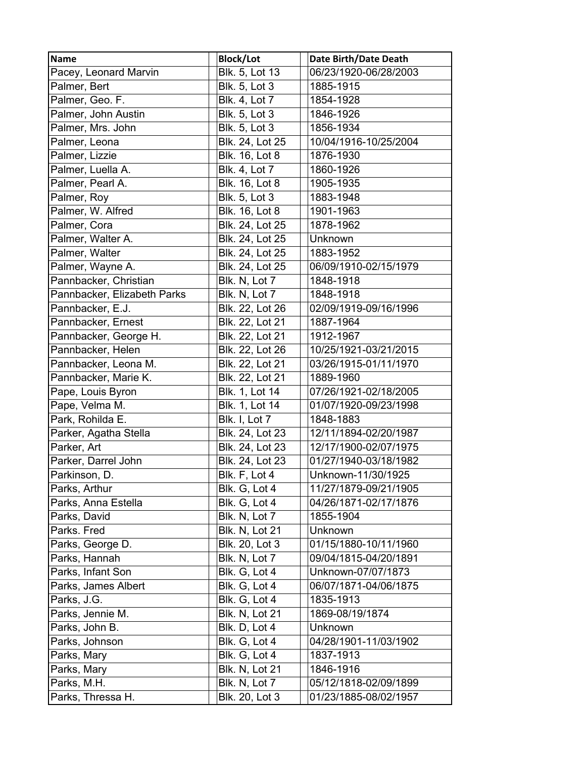| <b>Name</b>                 | <b>Block/Lot</b>      | Date Birth/Date Death |
|-----------------------------|-----------------------|-----------------------|
| Pacey, Leonard Marvin       | Blk. 5, Lot 13        | 06/23/1920-06/28/2003 |
| Palmer, Bert                | <b>Blk. 5, Lot 3</b>  | 1885-1915             |
| Palmer, Geo. F.             | <b>Blk. 4, Lot 7</b>  | 1854-1928             |
| Palmer, John Austin         | <b>Blk. 5, Lot 3</b>  | 1846-1926             |
| Palmer, Mrs. John           | <b>Blk. 5, Lot 3</b>  | 1856-1934             |
| Palmer, Leona               | Blk. 24, Lot 25       | 10/04/1916-10/25/2004 |
| Palmer, Lizzie              | Blk. 16, Lot 8        | 1876-1930             |
| Palmer, Luella A.           | <b>Blk. 4, Lot 7</b>  | 1860-1926             |
| Palmer, Pearl A.            | Blk. 16, Lot 8        | 1905-1935             |
| Palmer, Roy                 | <b>Blk. 5, Lot 3</b>  | 1883-1948             |
| Palmer, W. Alfred           | Blk. 16, Lot 8        | 1901-1963             |
| Palmer, Cora                | Blk. 24, Lot 25       | 1878-1962             |
| Palmer, Walter A.           | Blk. 24, Lot 25       | Unknown               |
| Palmer, Walter              | Blk. 24, Lot 25       | 1883-1952             |
| Palmer, Wayne A.            | Blk. 24, Lot 25       | 06/09/1910-02/15/1979 |
| Pannbacker, Christian       | Blk. N, Lot 7         | 1848-1918             |
| Pannbacker, Elizabeth Parks | Blk. N, Lot 7         | 1848-1918             |
| Pannbacker, E.J.            | Blk. 22, Lot 26       | 02/09/1919-09/16/1996 |
| Pannbacker, Ernest          | Blk. 22, Lot 21       | 1887-1964             |
| Pannbacker, George H.       | Blk. 22, Lot 21       | 1912-1967             |
| Pannbacker, Helen           | Blk. 22, Lot 26       | 10/25/1921-03/21/2015 |
| Pannbacker, Leona M.        | Blk. 22, Lot 21       | 03/26/1915-01/11/1970 |
| Pannbacker, Marie K.        | Blk. 22, Lot 21       | 1889-1960             |
| Pape, Louis Byron           | Blk. 1, Lot 14        | 07/26/1921-02/18/2005 |
| Pape, Velma M.              | Blk. 1, Lot 14        | 01/07/1920-09/23/1998 |
| Park, Rohilda E.            | Blk. I, Lot 7         | 1848-1883             |
| Parker, Agatha Stella       | Blk. 24, Lot 23       | 12/11/1894-02/20/1987 |
| Parker, Art                 | Blk. 24, Lot 23       | 12/17/1900-02/07/1975 |
| Parker, Darrel John         | Blk. 24, Lot 23       | 01/27/1940-03/18/1982 |
| Parkinson, D.               | Blk. F, Lot 4         | Unknown-11/30/1925    |
| Parks, Arthur               | Blk. G, Lot 4         | 11/27/1879-09/21/1905 |
| Parks, Anna Estella         | Blk. G, Lot 4         | 04/26/1871-02/17/1876 |
| Parks, David                | Blk. N, Lot 7         | 1855-1904             |
| Parks. Fred                 | <b>Blk. N, Lot 21</b> | <b>Unknown</b>        |
| Parks, George D.            | Blk. 20, Lot 3        | 01/15/1880-10/11/1960 |
| Parks, Hannah               | Blk. N, Lot 7         | 09/04/1815-04/20/1891 |
| Parks, Infant Son           | Blk. G, Lot 4         | Unknown-07/07/1873    |
| Parks, James Albert         | Blk. G, Lot 4         | 06/07/1871-04/06/1875 |
| Parks, J.G.                 | Blk. G, Lot 4         | 1835-1913             |
| Parks, Jennie M.            | <b>Blk. N, Lot 21</b> | 1869-08/19/1874       |
| Parks, John B.              | Blk. D, Lot 4         | Unknown               |
| Parks, Johnson              | Blk. G, Lot 4         | 04/28/1901-11/03/1902 |
| Parks, Mary                 | Blk. G, Lot 4         | 1837-1913             |
| Parks, Mary                 | <b>Blk. N, Lot 21</b> | 1846-1916             |
| Parks, M.H.                 | Blk. N, Lot 7         | 05/12/1818-02/09/1899 |
| Parks, Thressa H.           | Blk. 20, Lot 3        | 01/23/1885-08/02/1957 |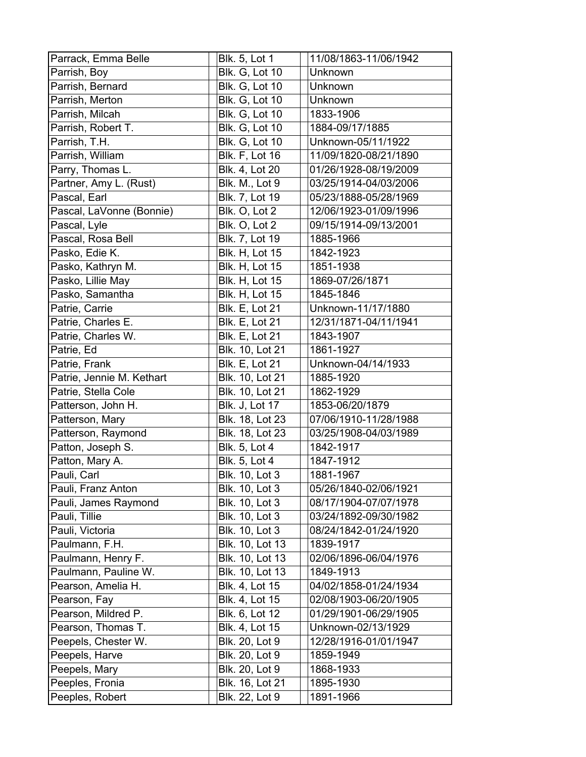| Parrack, Emma Belle       | Blk. 5, Lot 1         | 11/08/1863-11/06/1942 |
|---------------------------|-----------------------|-----------------------|
| Parrish, Boy              | <b>Blk. G, Lot 10</b> | Unknown               |
| Parrish, Bernard          | <b>Blk. G, Lot 10</b> | Unknown               |
| Parrish, Merton           | <b>Blk. G, Lot 10</b> | Unknown               |
| Parrish, Milcah           | <b>Blk. G, Lot 10</b> | 1833-1906             |
| Parrish, Robert T.        | <b>Blk. G, Lot 10</b> | 1884-09/17/1885       |
| Parrish, T.H.             | <b>Blk. G, Lot 10</b> | Unknown-05/11/1922    |
| Parrish, William          | <b>Blk. F, Lot 16</b> | 11/09/1820-08/21/1890 |
| Parry, Thomas L.          | Blk. 4, Lot 20        | 01/26/1928-08/19/2009 |
| Partner, Amy L. (Rust)    | Blk. M., Lot 9        | 03/25/1914-04/03/2006 |
| Pascal, Earl              | Blk. 7, Lot 19        | 05/23/1888-05/28/1969 |
| Pascal, LaVonne (Bonnie)  | Blk. O, Lot 2         | 12/06/1923-01/09/1996 |
| Pascal, Lyle              | Blk. O, Lot 2         | 09/15/1914-09/13/2001 |
| Pascal, Rosa Bell         | Blk. 7, Lot 19        | 1885-1966             |
| Pasko, Edie K.            | <b>Blk. H, Lot 15</b> | 1842-1923             |
| Pasko, Kathryn M.         | <b>Blk. H, Lot 15</b> | 1851-1938             |
| Pasko, Lillie May         | <b>Blk. H, Lot 15</b> | 1869-07/26/1871       |
| Pasko, Samantha           | <b>Blk. H, Lot 15</b> | 1845-1846             |
| Patrie, Carrie            | <b>Blk. E, Lot 21</b> | Unknown-11/17/1880    |
| Patrie, Charles E.        | <b>Blk. E, Lot 21</b> | 12/31/1871-04/11/1941 |
| Patrie, Charles W.        | <b>Blk. E, Lot 21</b> | 1843-1907             |
| Patrie, Ed                | Blk. 10, Lot 21       | 1861-1927             |
| Patrie, Frank             | <b>Blk. E, Lot 21</b> | Unknown-04/14/1933    |
| Patrie, Jennie M. Kethart | Blk. 10, Lot 21       | 1885-1920             |
| Patrie, Stella Cole       | Blk. 10, Lot 21       | 1862-1929             |
| Patterson, John H.        | <b>Blk. J, Lot 17</b> | 1853-06/20/1879       |
| Patterson, Mary           | Blk. 18, Lot 23       | 07/06/1910-11/28/1988 |
| Patterson, Raymond        | Blk. 18, Lot 23       | 03/25/1908-04/03/1989 |
| Patton, Joseph S.         | <b>Blk. 5, Lot 4</b>  | 1842-1917             |
| Patton, Mary A.           | <b>Blk. 5, Lot 4</b>  | 1847-1912             |
| Pauli, Carl               | <b>Blk.</b> 10, Lot 3 | 1881-1967             |
| Pauli, Franz Anton        | Blk. 10, Lot 3        | 05/26/1840-02/06/1921 |
| Pauli, James Raymond      | Blk. 10, Lot 3        | 08/17/1904-07/07/1978 |
| Pauli, Tillie             | Blk. 10, Lot 3        | 03/24/1892-09/30/1982 |
| Pauli, Victoria           | Blk. 10, Lot 3        | 08/24/1842-01/24/1920 |
| Paulmann, F.H.            | Blk. 10, Lot 13       | 1839-1917             |
| Paulmann, Henry F.        | Blk. 10, Lot 13       | 02/06/1896-06/04/1976 |
| Paulmann, Pauline W.      | Blk. 10, Lot 13       | 1849-1913             |
| Pearson, Amelia H.        | Blk. 4, Lot 15        | 04/02/1858-01/24/1934 |
| Pearson, Fay              | Blk. 4, Lot 15        | 02/08/1903-06/20/1905 |
| Pearson, Mildred P.       | Blk. 6, Lot 12        | 01/29/1901-06/29/1905 |
| Pearson, Thomas T.        | Blk. 4, Lot 15        | Unknown-02/13/1929    |
| Peepels, Chester W.       | Blk. 20, Lot 9        | 12/28/1916-01/01/1947 |
| Peepels, Harve            | Blk. 20, Lot 9        | 1859-1949             |
| Peepels, Mary             | Blk. 20, Lot 9        | 1868-1933             |
| Peeples, Fronia           | Blk. 16, Lot 21       | 1895-1930             |
| Peeples, Robert           | Blk. 22, Lot 9        | 1891-1966             |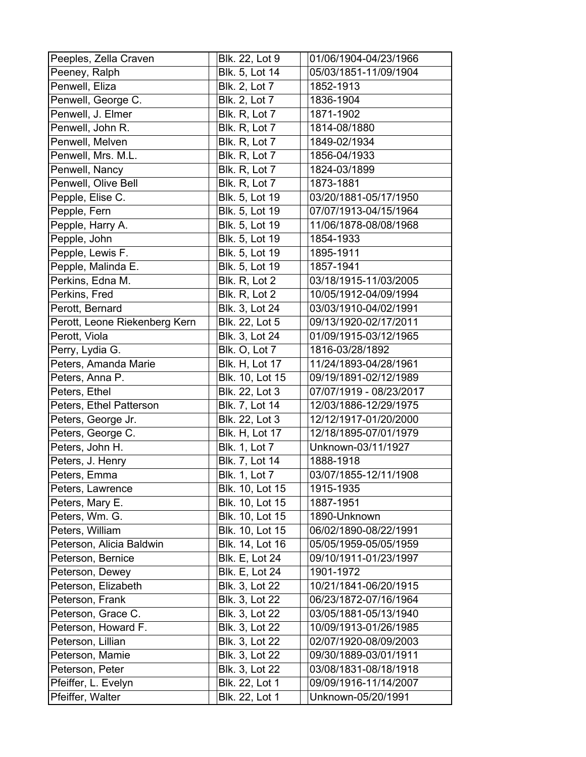| Peeples, Zella Craven         | Blk. 22, Lot 9        | 01/06/1904-04/23/1966   |
|-------------------------------|-----------------------|-------------------------|
| Peeney, Ralph                 | <b>Blk. 5, Lot 14</b> | 05/03/1851-11/09/1904   |
| Penwell, Eliza                | Blk. 2, Lot 7         | 1852-1913               |
| Penwell, George C.            | Blk. 2, Lot 7         | 1836-1904               |
| Penwell, J. Elmer             | Blk. R, Lot 7         | 1871-1902               |
| Penwell, John R.              | Blk. R, Lot 7         | 1814-08/1880            |
| Penwell, Melven               | Blk. R, Lot 7         | 1849-02/1934            |
| Penwell, Mrs. M.L.            | Blk. R, Lot 7         | 1856-04/1933            |
| Penwell, Nancy                | Blk. R, Lot 7         | 1824-03/1899            |
| Penwell, Olive Bell           | Blk. R, Lot 7         | 1873-1881               |
| Pepple, Elise C.              | Blk. 5, Lot 19        | 03/20/1881-05/17/1950   |
| Pepple, Fern                  | Blk. 5, Lot 19        | 07/07/1913-04/15/1964   |
| Pepple, Harry A.              | Blk. 5, Lot 19        | 11/06/1878-08/08/1968   |
| Pepple, John                  | Blk. 5, Lot 19        | 1854-1933               |
| Pepple, Lewis F.              | Blk. 5, Lot 19        | 1895-1911               |
| Pepple, Malinda E.            | Blk. 5, Lot 19        | 1857-1941               |
| Perkins, Edna M.              | Blk. R, Lot 2         | 03/18/1915-11/03/2005   |
| Perkins, Fred                 | Blk. R, Lot 2         | 10/05/1912-04/09/1994   |
| Perott, Bernard               | Blk. 3, Lot 24        | 03/03/1910-04/02/1991   |
| Perott, Leone Riekenberg Kern | Blk. 22, Lot 5        | 09/13/1920-02/17/2011   |
| Perott, Viola                 | Blk. 3, Lot 24        | 01/09/1915-03/12/1965   |
| Perry, Lydia G.               | Blk. O, Lot 7         | 1816-03/28/1892         |
| Peters, Amanda Marie          | <b>Blk. H, Lot 17</b> | 11/24/1893-04/28/1961   |
| Peters, Anna P.               | Blk. 10, Lot 15       | 09/19/1891-02/12/1989   |
| Peters, Ethel                 | Blk. 22, Lot 3        | 07/07/1919 - 08/23/2017 |
| Peters, Ethel Patterson       | Blk. 7, Lot 14        | 12/03/1886-12/29/1975   |
| Peters, George Jr.            | Blk. 22, Lot 3        | 12/12/1917-01/20/2000   |
| Peters, George C.             | <b>Blk. H, Lot 17</b> | 12/18/1895-07/01/1979   |
| Peters, John H.               | <b>Blk. 1, Lot 7</b>  | Unknown-03/11/1927      |
| Peters, J. Henry              | Blk. 7, Lot 14        | 1888-1918               |
| Peters, Emma                  | <b>Blk. 1, Lot 7</b>  | 03/07/1855-12/11/1908   |
| Peters, Lawrence              | Blk. 10, Lot 15       | 1915-1935               |
| Peters, Mary E.               | Blk. 10, Lot 15       | 1887-1951               |
| Peters, Wm. G.                | Blk. 10, Lot 15       | 1890-Unknown            |
| Peters, William               | Blk. 10, Lot 15       | 06/02/1890-08/22/1991   |
| Peterson, Alicia Baldwin      | Blk. 14, Lot 16       | 05/05/1959-05/05/1959   |
| Peterson, Bernice             | <b>Blk. E, Lot 24</b> | 09/10/1911-01/23/1997   |
| Peterson, Dewey               | <b>Blk. E, Lot 24</b> | 1901-1972               |
| Peterson, Elizabeth           | Blk. 3, Lot 22        | 10/21/1841-06/20/1915   |
| Peterson, Frank               | Blk. 3, Lot 22        | 06/23/1872-07/16/1964   |
| Peterson, Grace C.            | Blk. 3, Lot 22        | 03/05/1881-05/13/1940   |
| Peterson, Howard F.           | Blk. 3, Lot 22        | 10/09/1913-01/26/1985   |
| Peterson, Lillian             | Blk. 3, Lot 22        | 02/07/1920-08/09/2003   |
| Peterson, Mamie               | Blk. 3, Lot 22        | 09/30/1889-03/01/1911   |
| Peterson, Peter               | Blk. 3, Lot 22        | 03/08/1831-08/18/1918   |
| Pfeiffer, L. Evelyn           | Blk. 22, Lot 1        | 09/09/1916-11/14/2007   |
| Pfeiffer, Walter              | Blk. 22, Lot 1        | Unknown-05/20/1991      |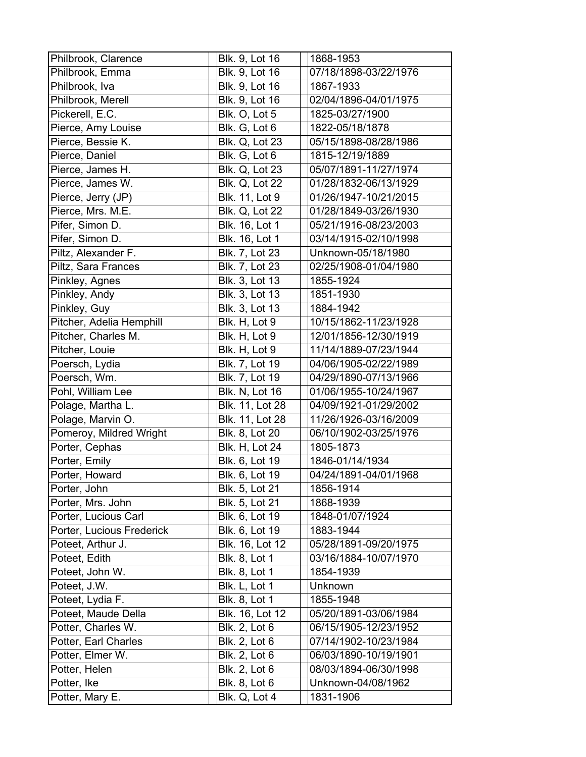| Philbrook, Clarence       | Blk. 9, Lot 16        | 1868-1953             |
|---------------------------|-----------------------|-----------------------|
| Philbrook, Emma           | Blk. 9, Lot 16        | 07/18/1898-03/22/1976 |
| Philbrook, Iva            | Blk. 9, Lot 16        | 1867-1933             |
| Philbrook, Merell         | Blk. 9, Lot 16        | 02/04/1896-04/01/1975 |
| Pickerell, E.C.           | Blk. O, Lot 5         | 1825-03/27/1900       |
| Pierce, Amy Louise        | Blk. G, Lot 6         | 1822-05/18/1878       |
| Pierce, Bessie K.         | <b>Blk. Q, Lot 23</b> | 05/15/1898-08/28/1986 |
| Pierce, Daniel            | Blk. G, Lot 6         | 1815-12/19/1889       |
| Pierce, James H.          | Blk. Q, Lot 23        | 05/07/1891-11/27/1974 |
| Pierce, James W.          | Blk. Q, Lot 22        | 01/28/1832-06/13/1929 |
| Pierce, Jerry (JP)        | Blk. 11, Lot 9        | 01/26/1947-10/21/2015 |
| Pierce, Mrs. M.E.         | Blk. Q, Lot 22        | 01/28/1849-03/26/1930 |
| Pifer, Simon D.           | Blk. 16, Lot 1        | 05/21/1916-08/23/2003 |
| Pifer, Simon D.           | Blk. 16, Lot 1        | 03/14/1915-02/10/1998 |
| Piltz, Alexander F.       | Blk. 7, Lot 23        | Unknown-05/18/1980    |
| Piltz, Sara Frances       | Blk. 7, Lot 23        | 02/25/1908-01/04/1980 |
| Pinkley, Agnes            | Blk. 3, Lot 13        | 1855-1924             |
| Pinkley, Andy             | Blk. 3, Lot 13        | 1851-1930             |
| Pinkley, Guy              | Blk. 3, Lot 13        | 1884-1942             |
| Pitcher, Adelia Hemphill  | Blk. H, Lot 9         | 10/15/1862-11/23/1928 |
| Pitcher, Charles M.       | Blk. H, Lot 9         | 12/01/1856-12/30/1919 |
| Pitcher, Louie            | Blk. H, Lot 9         | 11/14/1889-07/23/1944 |
| Poersch, Lydia            | Blk. 7, Lot 19        | 04/06/1905-02/22/1989 |
| Poersch, Wm.              | Blk. 7, Lot 19        | 04/29/1890-07/13/1966 |
| Pohl, William Lee         | <b>Blk. N, Lot 16</b> | 01/06/1955-10/24/1967 |
| Polage, Martha L.         | Blk. 11, Lot 28       | 04/09/1921-01/29/2002 |
| Polage, Marvin O.         | Blk. 11, Lot 28       | 11/26/1926-03/16/2009 |
| Pomeroy, Mildred Wright   | Blk. 8, Lot 20        | 06/10/1902-03/25/1976 |
| Porter, Cephas            | Blk. H, Lot 24        | 1805-1873             |
| Porter, Emily             | Blk. 6, Lot 19        | 1846-01/14/1934       |
| Porter, Howard            | Blk. 6, Lot 19        | 04/24/1891-04/01/1968 |
| Porter, John              | Blk. 5, Lot 21        | 1856-1914             |
| Porter, Mrs. John         | Blk. 5, Lot 21        | 1868-1939             |
| Porter, Lucious Carl      | Blk. 6, Lot 19        | 1848-01/07/1924       |
| Porter, Lucious Frederick | Blk. 6, Lot 19        | 1883-1944             |
| Poteet, Arthur J.         | Blk. 16, Lot 12       | 05/28/1891-09/20/1975 |
| Poteet, Edith             | <b>Blk. 8, Lot 1</b>  | 03/16/1884-10/07/1970 |
| Poteet, John W.           | <b>Blk. 8, Lot 1</b>  | 1854-1939             |
| Poteet, J.W.              | Blk. L, Lot 1         | Unknown               |
| Poteet, Lydia F.          | Blk. 8, Lot 1         | 1855-1948             |
| Poteet, Maude Della       | Blk. 16, Lot 12       | 05/20/1891-03/06/1984 |
| Potter, Charles W.        | <b>Blk. 2, Lot 6</b>  | 06/15/1905-12/23/1952 |
| Potter, Earl Charles      | Blk. 2, Lot 6         | 07/14/1902-10/23/1984 |
| Potter, Elmer W.          | <b>Blk. 2, Lot 6</b>  | 06/03/1890-10/19/1901 |
| Potter, Helen             | <b>Blk. 2, Lot 6</b>  | 08/03/1894-06/30/1998 |
| Potter, Ike               | <b>Blk. 8, Lot 6</b>  | Unknown-04/08/1962    |
| Potter, Mary E.           | Blk. Q, Lot 4         | 1831-1906             |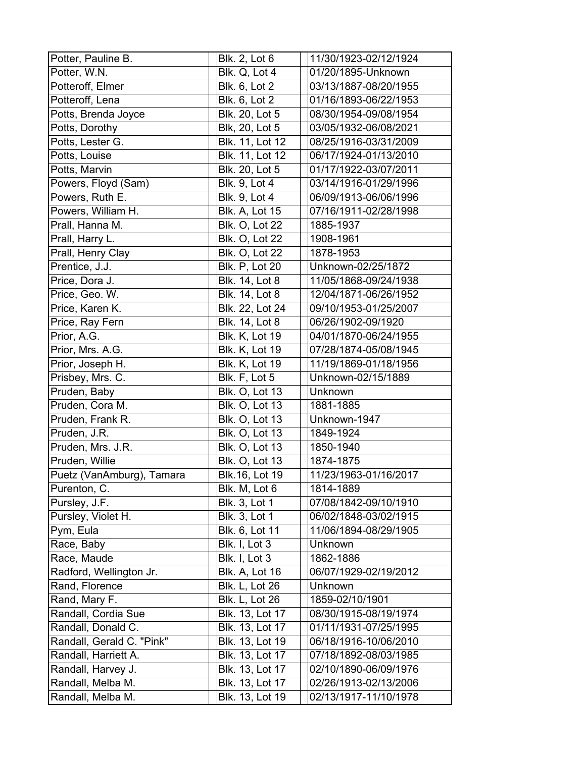| Potter, Pauline B.        | <b>Blk. 2, Lot 6</b>  | 11/30/1923-02/12/1924 |
|---------------------------|-----------------------|-----------------------|
| Potter, W.N.              | Blk. Q, Lot 4         | 01/20/1895-Unknown    |
| Potteroff, Elmer          | <b>Blk. 6, Lot 2</b>  | 03/13/1887-08/20/1955 |
| Potteroff, Lena           | Blk. 6, Lot 2         | 01/16/1893-06/22/1953 |
| Potts, Brenda Joyce       | Blk. 20, Lot 5        | 08/30/1954-09/08/1954 |
| Potts, Dorothy            | Blk, 20, Lot 5        | 03/05/1932-06/08/2021 |
| Potts, Lester G.          | Blk. 11, Lot 12       | 08/25/1916-03/31/2009 |
| Potts, Louise             | Blk. 11, Lot 12       | 06/17/1924-01/13/2010 |
| Potts, Marvin             | Blk. 20, Lot 5        | 01/17/1922-03/07/2011 |
| Powers, Floyd (Sam)       | <b>Blk. 9, Lot 4</b>  | 03/14/1916-01/29/1996 |
| Powers, Ruth E.           | Blk. 9, Lot 4         | 06/09/1913-06/06/1996 |
| Powers, William H.        | <b>Blk. A, Lot 15</b> | 07/16/1911-02/28/1998 |
| Prall, Hanna M.           | <b>Blk. O, Lot 22</b> | 1885-1937             |
| Prall, Harry L.           | <b>Blk. O, Lot 22</b> | 1908-1961             |
| Prall, Henry Clay         | <b>Blk. O, Lot 22</b> | 1878-1953             |
| Prentice, J.J.            | <b>Blk. P, Lot 20</b> | Unknown-02/25/1872    |
| Price, Dora J.            | Blk. 14, Lot 8        | 11/05/1868-09/24/1938 |
| Price, Geo. W.            | Blk. 14, Lot 8        | 12/04/1871-06/26/1952 |
| Price, Karen K.           | Blk. 22, Lot 24       | 09/10/1953-01/25/2007 |
| Price, Ray Fern           | Blk. 14, Lot 8        | 06/26/1902-09/1920    |
| Prior, A.G.               | <b>Blk. K, Lot 19</b> | 04/01/1870-06/24/1955 |
| Prior, Mrs. A.G.          | <b>Blk. K, Lot 19</b> | 07/28/1874-05/08/1945 |
| Prior, Joseph H.          | <b>Blk. K, Lot 19</b> | 11/19/1869-01/18/1956 |
| Prisbey, Mrs. C.          | Blk. F, Lot 5         | Unknown-02/15/1889    |
| Pruden, Baby              | <b>Blk. O, Lot 13</b> | Unknown               |
| Pruden, Cora M.           | <b>Blk. O, Lot 13</b> | 1881-1885             |
| Pruden, Frank R.          | <b>Blk. O, Lot 13</b> | Unknown-1947          |
| Pruden, J.R.              | <b>Blk. O, Lot 13</b> | 1849-1924             |
| Pruden, Mrs. J.R.         | <b>Blk. O, Lot 13</b> | 1850-1940             |
| Pruden, Willie            | <b>Blk. O, Lot 13</b> | 1874-1875             |
| Puetz (VanAmburg), Tamara | Blk.16, Lot 19        | 11/23/1963-01/16/2017 |
| Purenton, C.              | Blk. M, Lot 6         | 1814-1889             |
| Pursley, J.F.             | <b>Blk. 3, Lot 1</b>  | 07/08/1842-09/10/1910 |
| Pursley, Violet H.        | Blk. 3, Lot 1         | 06/02/1848-03/02/1915 |
| Pym, Eula                 | Blk. 6, Lot 11        | 11/06/1894-08/29/1905 |
| Race, Baby                | Blk. I, Lot 3         | Unknown               |
| Race, Maude               | Blk. I, Lot 3         | 1862-1886             |
| Radford, Wellington Jr.   | <b>Blk. A, Lot 16</b> | 06/07/1929-02/19/2012 |
| Rand, Florence            | <b>Blk. L, Lot 26</b> | Unknown               |
| Rand, Mary F.             | <b>Blk. L, Lot 26</b> | 1859-02/10/1901       |
| Randall, Cordia Sue       | Blk. 13, Lot 17       | 08/30/1915-08/19/1974 |
| Randall, Donald C.        | Blk. 13, Lot 17       | 01/11/1931-07/25/1995 |
| Randall, Gerald C. "Pink" | Blk. 13, Lot 19       | 06/18/1916-10/06/2010 |
| Randall, Harriett A.      | Blk. 13, Lot 17       | 07/18/1892-08/03/1985 |
| Randall, Harvey J.        | Blk. 13, Lot 17       | 02/10/1890-06/09/1976 |
| Randall, Melba M.         | Blk. 13, Lot 17       | 02/26/1913-02/13/2006 |
| Randall, Melba M.         | Blk. 13, Lot 19       | 02/13/1917-11/10/1978 |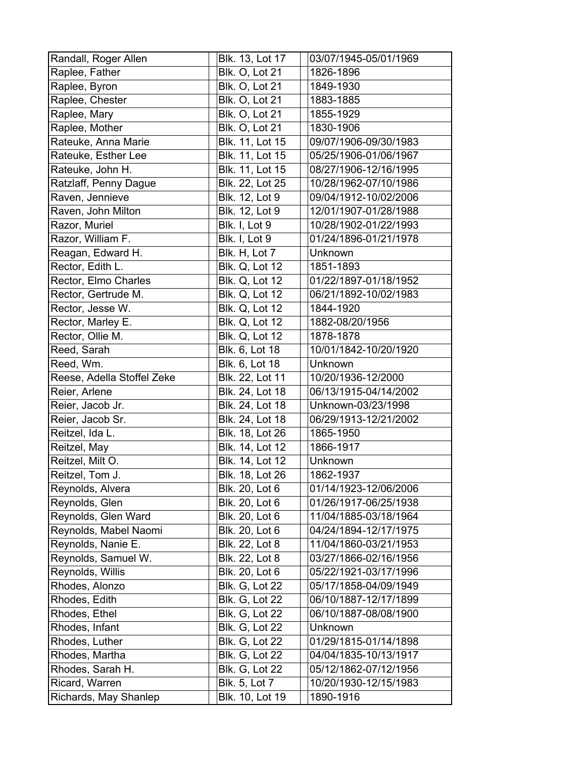| Randall, Roger Allen       | Blk. 13, Lot 17       | 03/07/1945-05/01/1969 |
|----------------------------|-----------------------|-----------------------|
| Raplee, Father             | <b>Blk. O, Lot 21</b> | 1826-1896             |
| Raplee, Byron              | <b>Blk. O. Lot 21</b> | 1849-1930             |
| Raplee, Chester            | <b>Blk. O, Lot 21</b> | 1883-1885             |
| Raplee, Mary               | <b>Blk. O, Lot 21</b> | 1855-1929             |
| Raplee, Mother             | <b>Blk. O, Lot 21</b> | 1830-1906             |
| Rateuke, Anna Marie        | Blk. 11, Lot 15       | 09/07/1906-09/30/1983 |
| Rateuke, Esther Lee        | Blk. 11, Lot 15       | 05/25/1906-01/06/1967 |
| Rateuke, John H.           | Blk. 11, Lot 15       | 08/27/1906-12/16/1995 |
| Ratzlaff, Penny Dague      | Blk. 22, Lot 25       | 10/28/1962-07/10/1986 |
| Raven, Jennieve            | Blk. 12, Lot 9        | 09/04/1912-10/02/2006 |
| Raven, John Milton         | Blk. 12, Lot 9        | 12/01/1907-01/28/1988 |
| Razor, Muriel              | Blk. I, Lot 9         | 10/28/1902-01/22/1993 |
| Razor, William F.          | Blk. I, Lot 9         | 01/24/1896-01/21/1978 |
| Reagan, Edward H.          | Blk. H, Lot 7         | Unknown               |
| Rector, Edith L.           | <b>Blk. Q, Lot 12</b> | 1851-1893             |
| Rector, Elmo Charles       | <b>Blk. Q, Lot 12</b> | 01/22/1897-01/18/1952 |
| Rector, Gertrude M.        | <b>Blk. Q, Lot 12</b> | 06/21/1892-10/02/1983 |
| Rector, Jesse W.           | <b>Blk. Q, Lot 12</b> | 1844-1920             |
| Rector, Marley E.          | <b>Blk. Q, Lot 12</b> | 1882-08/20/1956       |
| Rector, Ollie M.           | <b>Blk. Q, Lot 12</b> | 1878-1878             |
| Reed, Sarah                | Blk. 6, Lot 18        | 10/01/1842-10/20/1920 |
| Reed, Wm.                  | Blk. 6, Lot 18        | Unknown               |
| Reese, Adella Stoffel Zeke | Blk. 22, Lot 11       | 10/20/1936-12/2000    |
| Reier, Arlene              | Blk. 24, Lot 18       | 06/13/1915-04/14/2002 |
| Reier, Jacob Jr.           | Blk. 24, Lot 18       | Unknown-03/23/1998    |
| Reier, Jacob Sr.           | Blk. 24, Lot 18       | 06/29/1913-12/21/2002 |
| Reitzel, Ida L.            | Blk. 18, Lot 26       | 1865-1950             |
| Reitzel, May               | Blk. 14, Lot 12       | 1866-1917             |
| Reitzel, Milt O.           | Blk. 14, Lot 12       | Unknown               |
| Reitzel, Tom J.            | Blk. 18, Lot 26       | 1862-1937             |
| Reynolds, Alvera           | Blk. 20, Lot 6        | 01/14/1923-12/06/2006 |
| Reynolds, Glen             | Blk. 20, Lot 6        | 01/26/1917-06/25/1938 |
| Reynolds, Glen Ward        | Blk. 20, Lot 6        | 11/04/1885-03/18/1964 |
| Reynolds, Mabel Naomi      | Blk. 20, Lot 6        | 04/24/1894-12/17/1975 |
| Reynolds, Nanie E.         | Blk. 22, Lot 8        | 11/04/1860-03/21/1953 |
| Reynolds, Samuel W.        | Blk. 22, Lot 8        | 03/27/1866-02/16/1956 |
| Reynolds, Willis           | Blk. 20, Lot 6        | 05/22/1921-03/17/1996 |
| Rhodes, Alonzo             | <b>Blk. G, Lot 22</b> | 05/17/1858-04/09/1949 |
| Rhodes, Edith              | <b>Blk. G, Lot 22</b> | 06/10/1887-12/17/1899 |
| Rhodes, Ethel              | <b>Blk. G, Lot 22</b> | 06/10/1887-08/08/1900 |
| Rhodes, Infant             | <b>Blk. G, Lot 22</b> | Unknown               |
| Rhodes, Luther             | <b>Blk. G, Lot 22</b> | 01/29/1815-01/14/1898 |
| Rhodes, Martha             | <b>Blk. G, Lot 22</b> | 04/04/1835-10/13/1917 |
| Rhodes, Sarah H.           | <b>Blk. G, Lot 22</b> | 05/12/1862-07/12/1956 |
| Ricard, Warren             | Blk. 5, Lot 7         | 10/20/1930-12/15/1983 |
| Richards, May Shanlep      | Blk. 10, Lot 19       | 1890-1916             |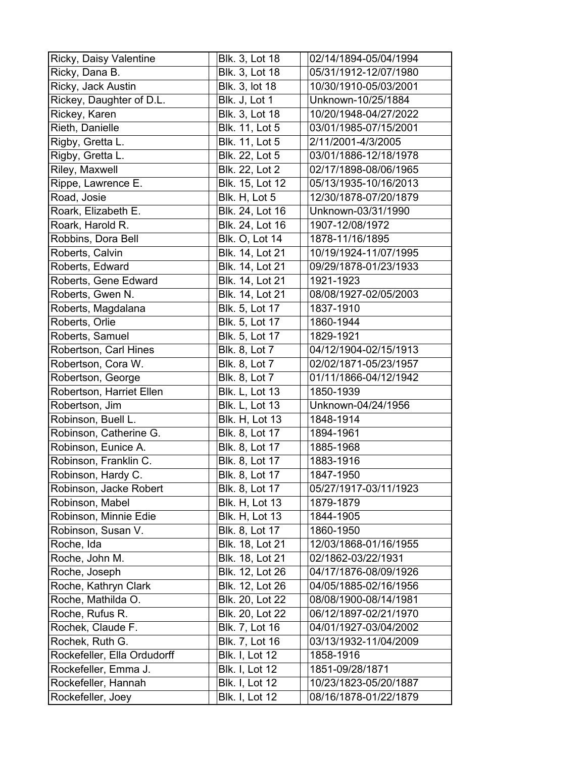| Ricky, Daisy Valentine      | Blk. 3, Lot 18        | 02/14/1894-05/04/1994 |
|-----------------------------|-----------------------|-----------------------|
| Ricky, Dana B.              | Blk. 3, Lot 18        | 05/31/1912-12/07/1980 |
| Ricky, Jack Austin          | Blk. 3, lot 18        | 10/30/1910-05/03/2001 |
| Rickey, Daughter of D.L.    | Blk. J, Lot 1         | Unknown-10/25/1884    |
| Rickey, Karen               | Blk. 3, Lot 18        | 10/20/1948-04/27/2022 |
| Rieth, Danielle             | Blk. 11, Lot 5        | 03/01/1985-07/15/2001 |
| Rigby, Gretta L.            | Blk. 11, Lot 5        | 2/11/2001-4/3/2005    |
| Rigby, Gretta L.            | Blk. 22, Lot 5        | 03/01/1886-12/18/1978 |
| Riley, Maxwell              | Blk. 22, Lot 2        | 02/17/1898-08/06/1965 |
| Rippe, Lawrence E.          | Blk. 15, Lot 12       | 05/13/1935-10/16/2013 |
| Road, Josie                 | Blk. H, Lot 5         | 12/30/1878-07/20/1879 |
| Roark, Elizabeth E.         | Blk. 24, Lot 16       | Unknown-03/31/1990    |
| Roark, Harold R.            | Blk. 24, Lot 16       | 1907-12/08/1972       |
| Robbins, Dora Bell          | <b>Blk. O, Lot 14</b> | 1878-11/16/1895       |
| Roberts, Calvin             | Blk. 14, Lot 21       | 10/19/1924-11/07/1995 |
| Roberts, Edward             | Blk. 14, Lot 21       | 09/29/1878-01/23/1933 |
| Roberts, Gene Edward        | Blk. 14, Lot 21       | 1921-1923             |
| Roberts, Gwen N.            | Blk. 14, Lot 21       | 08/08/1927-02/05/2003 |
| Roberts, Magdalana          | Blk. 5, Lot 17        | 1837-1910             |
| Roberts, Orlie              | Blk. 5, Lot 17        | 1860-1944             |
| Roberts, Samuel             | Blk. 5, Lot 17        | 1829-1921             |
| Robertson, Carl Hines       | Blk. 8, Lot 7         | 04/12/1904-02/15/1913 |
| Robertson, Cora W.          | Blk. 8, Lot 7         | 02/02/1871-05/23/1957 |
| Robertson, George           | Blk. 8, Lot 7         | 01/11/1866-04/12/1942 |
| Robertson, Harriet Ellen    | <b>Blk. L, Lot 13</b> | 1850-1939             |
| Robertson, Jim              | <b>Blk. L, Lot 13</b> | Unknown-04/24/1956    |
| Robinson, Buell L.          | <b>Blk. H, Lot 13</b> | 1848-1914             |
| Robinson, Catherine G.      | Blk. 8, Lot 17        | 1894-1961             |
| Robinson, Eunice A.         | Blk. 8, Lot 17        | 1885-1968             |
| Robinson, Franklin C.       | Blk. 8, Lot 17        | 1883-1916             |
| Robinson, Hardy C.          | <b>Blk. 8, Lot 17</b> | 1847-1950             |
| Robinson, Jacke Robert      | Blk. 8, Lot 17        | 05/27/1917-03/11/1923 |
| Robinson, Mabel             | <b>Blk. H, Lot 13</b> | 1879-1879             |
| Robinson, Minnie Edie       | <b>Blk. H, Lot 13</b> | 1844-1905             |
| Robinson, Susan V.          | Blk. 8, Lot 17        | 1860-1950             |
| Roche, Ida                  | Blk. 18, Lot 21       | 12/03/1868-01/16/1955 |
| Roche, John M.              | Blk. 18, Lot 21       | 02/1862-03/22/1931    |
| Roche, Joseph               | Blk. 12, Lot 26       | 04/17/1876-08/09/1926 |
| Roche, Kathryn Clark        | Blk. 12, Lot 26       | 04/05/1885-02/16/1956 |
| Roche, Mathilda O.          | Blk. 20, Lot 22       | 08/08/1900-08/14/1981 |
| Roche, Rufus R.             | Blk. 20, Lot 22       | 06/12/1897-02/21/1970 |
| Rochek, Claude F.           | Blk. 7, Lot 16        | 04/01/1927-03/04/2002 |
| Rochek, Ruth G.             | Blk. 7, Lot 16        | 03/13/1932-11/04/2009 |
| Rockefeller, Ella Ordudorff | <b>Blk. I, Lot 12</b> | 1858-1916             |
| Rockefeller, Emma J.        | <b>Blk. I, Lot 12</b> | 1851-09/28/1871       |
| Rockefeller, Hannah         | <b>Blk. I, Lot 12</b> | 10/23/1823-05/20/1887 |
| Rockefeller, Joey           | <b>Blk. I, Lot 12</b> | 08/16/1878-01/22/1879 |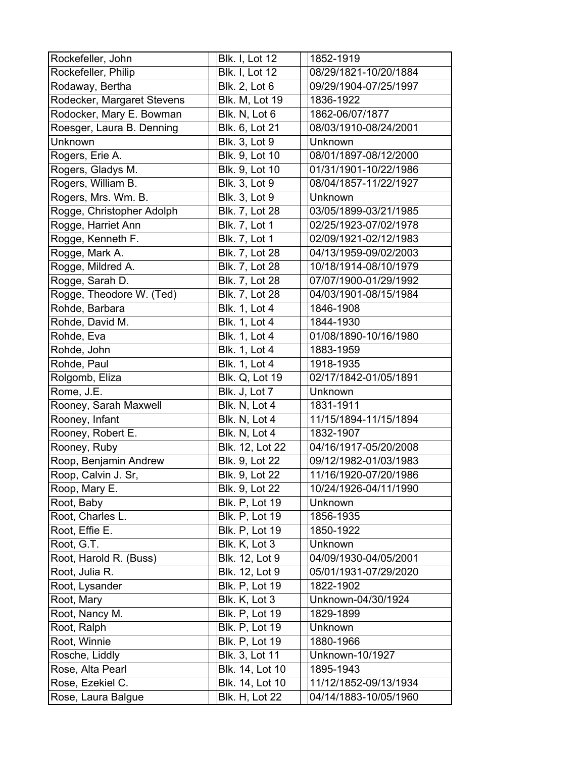| Rockefeller, John          | <b>Blk. I, Lot 12</b> | 1852-1919             |
|----------------------------|-----------------------|-----------------------|
| Rockefeller, Philip        | <b>Blk. I, Lot 12</b> | 08/29/1821-10/20/1884 |
| Rodaway, Bertha            | Blk. 2, Lot 6         | 09/29/1904-07/25/1997 |
| Rodecker, Margaret Stevens | <b>Blk. M, Lot 19</b> | 1836-1922             |
| Rodocker, Mary E. Bowman   | Blk. N, Lot 6         | 1862-06/07/1877       |
| Roesger, Laura B. Denning  | Blk. 6, Lot 21        | 08/03/1910-08/24/2001 |
| Unknown                    | <b>Blk. 3, Lot 9</b>  | Unknown               |
| Rogers, Erie A.            | Blk. 9, Lot 10        | 08/01/1897-08/12/2000 |
| Rogers, Gladys M.          | Blk. 9, Lot 10        | 01/31/1901-10/22/1986 |
| Rogers, William B.         | <b>Blk. 3, Lot 9</b>  | 08/04/1857-11/22/1927 |
| Rogers, Mrs. Wm. B.        | <b>Blk. 3, Lot 9</b>  | Unknown               |
| Rogge, Christopher Adolph  | Blk. 7, Lot 28        | 03/05/1899-03/21/1985 |
| Rogge, Harriet Ann         | <b>Blk. 7, Lot 1</b>  | 02/25/1923-07/02/1978 |
| Rogge, Kenneth F.          | <b>Blk. 7, Lot 1</b>  | 02/09/1921-02/12/1983 |
| Rogge, Mark A.             | Blk. 7, Lot 28        | 04/13/1959-09/02/2003 |
| Rogge, Mildred A.          | Blk. 7, Lot 28        | 10/18/1914-08/10/1979 |
| Rogge, Sarah D.            | Blk. 7, Lot 28        | 07/07/1900-01/29/1992 |
| Rogge, Theodore W. (Ted)   | Blk. 7, Lot 28        | 04/03/1901-08/15/1984 |
| Rohde, Barbara             | <b>Blk. 1, Lot 4</b>  | 1846-1908             |
| Rohde, David M.            | <b>Blk. 1, Lot 4</b>  | 1844-1930             |
| Rohde, Eva                 | <b>Blk. 1, Lot 4</b>  | 01/08/1890-10/16/1980 |
| Rohde, John                | <b>Blk. 1, Lot 4</b>  | 1883-1959             |
| Rohde, Paul                | <b>Blk. 1, Lot 4</b>  | 1918-1935             |
| Rolgomb, Eliza             | <b>Blk. Q, Lot 19</b> | 02/17/1842-01/05/1891 |
| Rome, J.E.                 | Blk. J, Lot 7         | Unknown               |
| Rooney, Sarah Maxwell      | Blk. N, Lot 4         | 1831-1911             |
| Rooney, Infant             | Blk. N, Lot 4         | 11/15/1894-11/15/1894 |
| Rooney, Robert E.          | Blk. N, Lot 4         | 1832-1907             |
| Rooney, Ruby               | Blk. 12, Lot 22       | 04/16/1917-05/20/2008 |
| Roop, Benjamin Andrew      | Blk. 9, Lot 22        | 09/12/1982-01/03/1983 |
| Roop, Calvin J. Sr,        | Blk. 9, Lot 22        | 11/16/1920-07/20/1986 |
| Roop, Mary E.              | Blk. 9, Lot 22        | 10/24/1926-04/11/1990 |
| Root, Baby                 | <b>Blk. P, Lot 19</b> | Unknown               |
| Root, Charles L.           | <b>Blk. P, Lot 19</b> | 1856-1935             |
| Root, Effie E.             | <b>Blk. P, Lot 19</b> | 1850-1922             |
| Root, G.T.                 | Blk. K, Lot 3         | Unknown               |
| Root, Harold R. (Buss)     | Blk. 12, Lot 9        | 04/09/1930-04/05/2001 |
| Root, Julia R.             | Blk. 12, Lot 9        | 05/01/1931-07/29/2020 |
| Root, Lysander             | <b>Blk. P, Lot 19</b> | 1822-1902             |
| Root, Mary                 | Blk. K, Lot 3         | Unknown-04/30/1924    |
| Root, Nancy M.             | <b>Blk. P, Lot 19</b> | 1829-1899             |
| Root, Ralph                | <b>Blk. P, Lot 19</b> | Unknown               |
| Root, Winnie               | <b>Blk. P, Lot 19</b> | 1880-1966             |
| Rosche, Liddly             | Blk. 3, Lot 11        | Unknown-10/1927       |
| Rose, Alta Pearl           | Blk. 14, Lot 10       | 1895-1943             |
| Rose, Ezekiel C.           | Blk. 14, Lot 10       | 11/12/1852-09/13/1934 |
| Rose, Laura Balgue         | <b>Blk. H, Lot 22</b> | 04/14/1883-10/05/1960 |